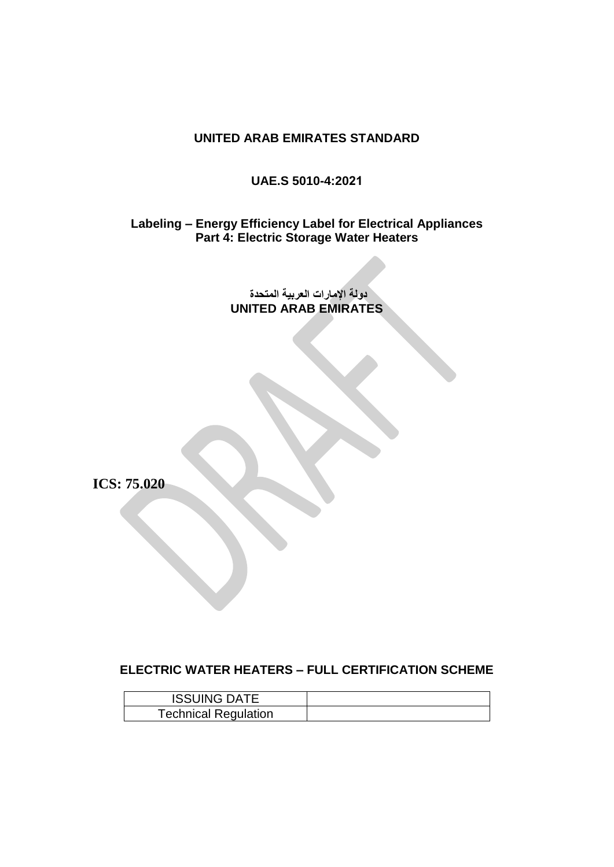### **UNITED ARAB EMIRATES STANDARD**

### **UAE.S 5010-4:2021**

### **Labeling – Energy Efficiency Label for Electrical Appliances Part 4: Electric Storage Water Heaters**

**دولة اإلمارات العربية المتحدة UNITED ARAB EMIRATES**

**ICS: 75.020**

#### **ELECTRIC WATER HEATERS – FULL CERTIFICATION SCHEME**

| <b>ISSUING DATE</b>         |  |
|-----------------------------|--|
| <b>Technical Regulation</b> |  |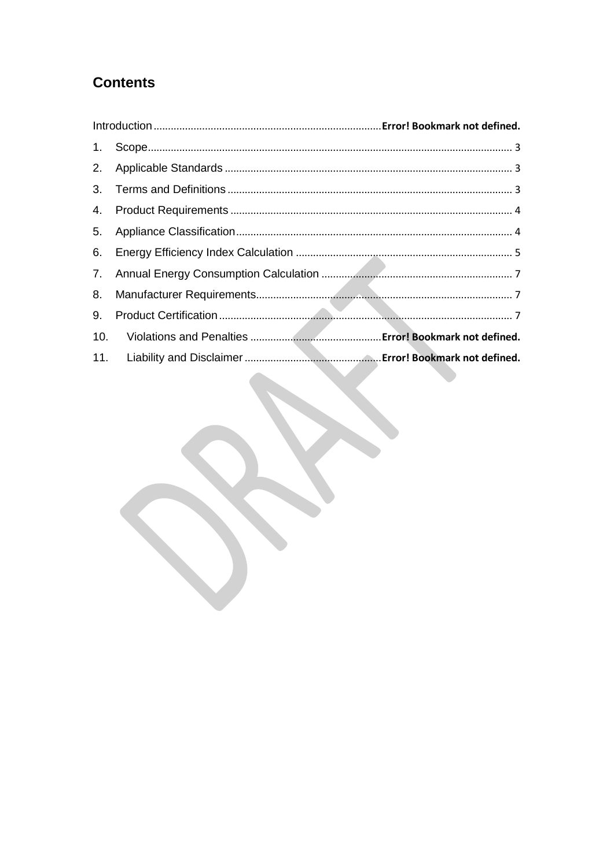# **Contents**

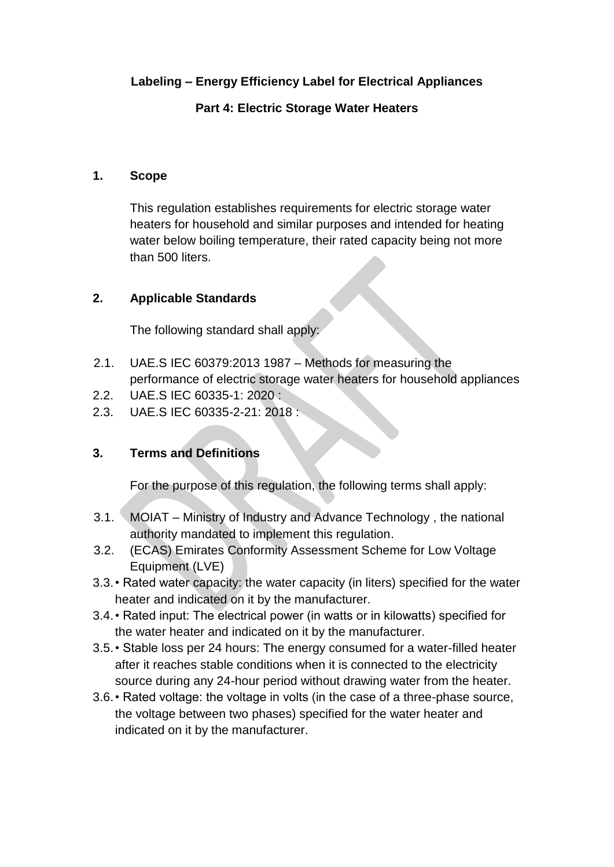# **Labeling – Energy Efficiency Label for Electrical Appliances**

# **Part 4: Electric Storage Water Heaters**

### <span id="page-2-0"></span>**1. Scope**

This regulation establishes requirements for electric storage water heaters for household and similar purposes and intended for heating water below boiling temperature, their rated capacity being not more than 500 liters.

## <span id="page-2-1"></span>**2. Applicable Standards**

The following standard shall apply:

- 2.1. UAE.S IEC 60379:2013 1987 Methods for measuring the performance of electric storage water heaters for household appliances
- 2.2. UAE.S IEC 60335-1: 2020 :
- 2.3. UAE.S IEC 60335-2-21: 2018 :

# <span id="page-2-2"></span>**3. Terms and Definitions**

For the purpose of this regulation, the following terms shall apply:

- 3.1. MOIAT Ministry of Industry and Advance Technology , the national authority mandated to implement this regulation.
- 3.2. (ECAS) Emirates Conformity Assessment Scheme for Low Voltage Equipment (LVE)
- 3.3.• Rated water capacity: the water capacity (in liters) specified for the water heater and indicated on it by the manufacturer.
- 3.4.• Rated input: The electrical power (in watts or in kilowatts) specified for the water heater and indicated on it by the manufacturer.
- 3.5.• Stable loss per 24 hours: The energy consumed for a water-filled heater after it reaches stable conditions when it is connected to the electricity source during any 24-hour period without drawing water from the heater.
- 3.6.• Rated voltage: the voltage in volts (in the case of a three-phase source, the voltage between two phases) specified for the water heater and indicated on it by the manufacturer.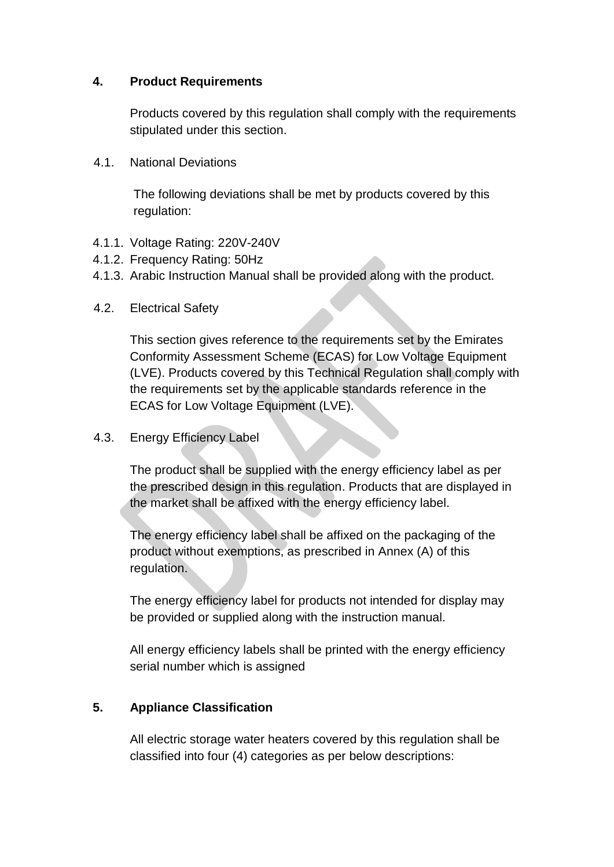### <span id="page-3-0"></span>**4. Product Requirements**

Products covered by this regulation shall comply with the requirements stipulated under this section.

4.1. National Deviations

The following deviations shall be met by products covered by this regulation:

- 4.1.1. Voltage Rating: 220V-240V
- 4.1.2. Frequency Rating: 50Hz
- 4.1.3. Arabic Instruction Manual shall be provided along with the product.
- 4.2. Electrical Safety

This section gives reference to the requirements set by the Emirates Conformity Assessment Scheme (ECAS) for Low Voltage Equipment (LVE). Products covered by this Technical Regulation shall comply with the requirements set by the applicable standards reference in the ECAS for Low Voltage Equipment (LVE).

4.3. Energy Efficiency Label

The product shall be supplied with the energy efficiency label as per the prescribed design in this regulation. Products that are displayed in the market shall be affixed with the energy efficiency label.

The energy efficiency label shall be affixed on the packaging of the product without exemptions, as prescribed in Annex (A) of this regulation.

The energy efficiency label for products not intended for display may be provided or supplied along with the instruction manual.

All energy efficiency labels shall be printed with the energy efficiency serial number which is assigned

## <span id="page-3-1"></span>**5. Appliance Classification**

All electric storage water heaters covered by this regulation shall be classified into four (4) categories as per below descriptions: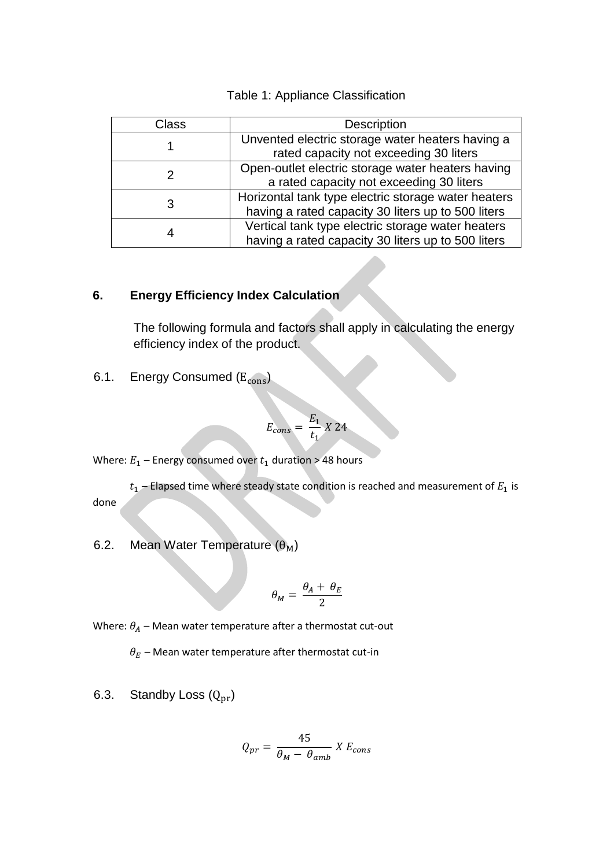#### Table 1: Appliance Classification

| Class | <b>Description</b>                                                                                        |
|-------|-----------------------------------------------------------------------------------------------------------|
|       | Unvented electric storage water heaters having a<br>rated capacity not exceeding 30 liters                |
|       | Open-outlet electric storage water heaters having<br>a rated capacity not exceeding 30 liters             |
| 3     | Horizontal tank type electric storage water heaters<br>having a rated capacity 30 liters up to 500 liters |
| 4     | Vertical tank type electric storage water heaters<br>having a rated capacity 30 liters up to 500 liters   |

#### <span id="page-4-0"></span>**6. Energy Efficiency Index Calculation**

The following formula and factors shall apply in calculating the energy efficiency index of the product.

6.1. Energy Consumed  $(E_{\text{cons}})$ 

$$
E_{cons} = \frac{E_1}{t_1} X 24
$$

Where:  $E_1$  – Energy consumed over  $t_1$  duration > 48 hours

 $t_1$  – Elapsed time where steady state condition is reached and measurement of  $E_1$  is done

6.2. Mean Water Temperature  $(\theta_M)$ 

$$
\theta_M = \frac{\theta_A + \theta_E}{2}
$$

Where:  $\theta_A$  – Mean water temperature after a thermostat cut-out

 $\theta_E$  – Mean water temperature after thermostat cut-in

6.3. Standby Loss  $(Q_{pr})$ 

$$
Q_{pr} = \frac{45}{\theta_M - \theta_{amb}} X E_{cons}
$$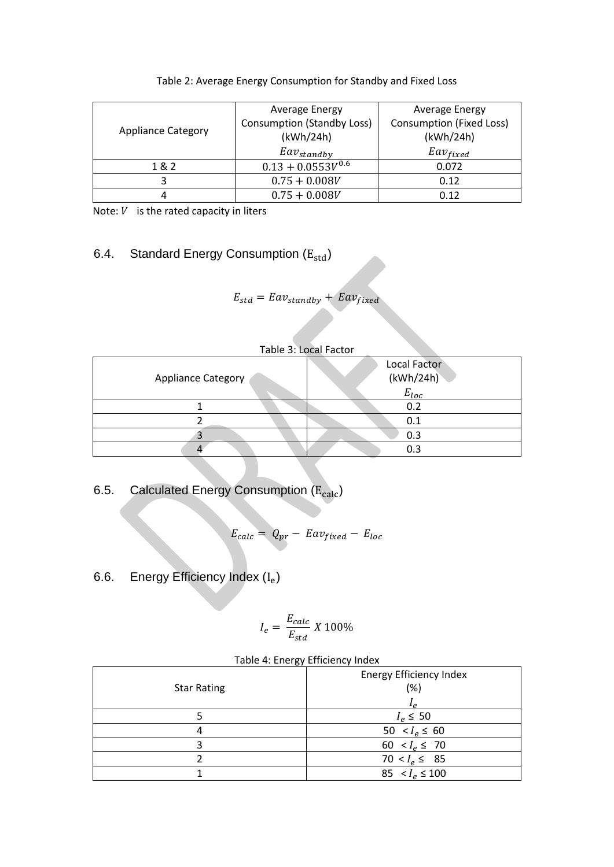| <b>Appliance Category</b> | <b>Average Energy</b><br>Consumption (Standby Loss)<br>(kWh/24h) | <b>Average Energy</b><br><b>Consumption (Fixed Loss)</b><br>(kWh/24h) |
|---------------------------|------------------------------------------------------------------|-----------------------------------------------------------------------|
|                           | $Eav_{standby}$                                                  | $Eav_{fixed}$                                                         |
| 1&2                       | $0.13 + 0.0553V^{0.6}$                                           | 0.072                                                                 |
| 3                         | $0.75 + 0.008V$                                                  | 0.12                                                                  |
| 4                         | $0.75 + 0.008V$                                                  | 0.12                                                                  |

#### Table 2: Average Energy Consumption for Standby and Fixed Loss

Note:  $V$  is the rated capacity in liters

### 6.4. Standard Energy Consumption  $(E_{std})$

# $E_{std} = Eav_{standby} + Eav_{fixed}$

| <b>Appliance Category</b> | Local Factor<br>(kWh/24h) |
|---------------------------|---------------------------|
|                           | $E_{loc}$                 |
|                           | 0.2                       |
|                           | 0.1                       |
| د                         | 0.3                       |
|                           | 0.3                       |

6.5. Calculated Energy Consumption  $(E_{calc})$ 

$$
E_{calc} = Q_{pr} - Eav_{fixed} - E_{loc}
$$

6.6. Energy Efficiency Index (I $_{\rm e}$ )

$$
I_e = \frac{E_{calc}}{E_{std}} \, X \, 100\%
$$

| $\ddotsc$          | Energy Efficiency Index |
|--------------------|-------------------------|
| <b>Star Rating</b> | (%)                     |
|                    |                         |
|                    | $I_e \leq 50$           |
|                    | 50 < $I_e \leq 60$      |
|                    | 60 < $I_e \leq 70$      |
|                    | 70 < $I_e \leq 85$      |
|                    | 85 < $I_e \le 100$      |